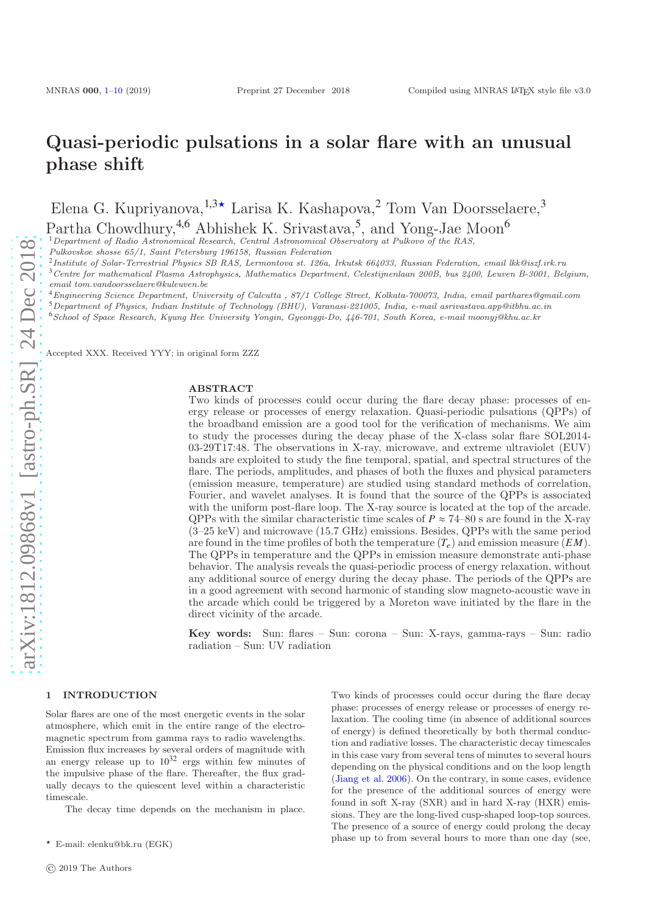# Quasi-periodic pulsations in a solar flare with an unusual phase shift

Elena G. Kupriyanova,  $1.3\star$  Larisa K. Kashapova,  $2$  Tom Van Doorsselaere,  $3$ 

Partha Chowdhury,<sup>4,6</sup> Abhishek K. Srivastava,<sup>5</sup>, and Yong-Jae Moon<sup>6</sup>

 $1$ Department of Radio Astronomical Research, Central Astronomical Observatory at Pulkovo of the RAS,

Pulkovskoe shosse 65/1, Saint Petersburg 196158, Russian Federation

2 Institute of Solar-Terrestrial Physics SB RAS, Lermontova st. 126a, Irkutsk 664033, Russian Federation, email lkk@iszf.irk.ru

 $3$ Centre for mathematical Plasma Astrophysics, Mathematics Department, Celestijnenlaan 200B, bus 2400, Leuven B-3001, Belgium,

email tom.vandoorsselaere@kuleuven.be

<sup>4</sup>Engineering Science Department, University of Calcutta , 87/1 College Street, Kolkata-700073, India, email parthares@gmail.com

 $5$ Department of Physics, Indian Institute of Technology (BHU), Varanasi-221005, India, e-mail asrivastava.app@itbhu.ac.in

<sup>6</sup>School of Space Research, Kyung Hee University Yongin, Gyeonggi-Do, 446-701, South Korea, e-mail moonyj@khu.ac.kr

Accepted XXX. Received YYY; in original form ZZZ

### **ABSTRACT**

Two kinds of processes could occur during the flare decay phase: processes of energy release or processes of energy relaxation. Quasi-periodic pulsations (QPPs) of the broadband emission are a good tool for the verification of mechanisms. We aim to study the processes during the decay phase of the X-class solar flare SOL2014- 03-29T17:48. The observations in X-ray, microwave, and extreme ultraviolet (EUV) bands are exploited to study the fine temporal, spatial, and spectral structures of the flare. The periods, amplitudes, and phases of both the fluxes and physical parameters (emission measure, temperature) are studied using standard methods of correlation, Fourier, and wavelet analyses. It is found that the source of the QPPs is associated with the uniform post-flare loop. The X-ray source is located at the top of the arcade. QPPs with the similar characteristic time scales of  $P \approx 74$ –80 s are found in the X-ray (3–25 keV) and microwave (15.7 GHz) emissions. Besides, QPPs with the same period are found in the time profiles of both the temperature  $(T_e)$  and emission measure  $(EM)$ . The QPPs in temperature and the QPPs in emission measure demonstrate anti-phase behavior. The analysis reveals the quasi-periodic process of energy relaxation, without any additional source of energy during the decay phase. The periods of the QPPs are in a good agreement with second harmonic of standing slow magneto-acoustic wave in the arcade which could be triggered by a Moreton wave initiated by the flare in the direct vicinity of the arcade.

Key words: Sun: flares – Sun: corona – Sun: X-rays, gamma-rays – Sun: radio radiation – Sun: UV radiation

# <span id="page-0-0"></span>1 INTRODUCTION

Solar flares are one of the most energetic events in the solar atmosphere, which emit in the entire range of the electromagnetic spectrum from gamma rays to radio wavelengths. Emission flux increases by several orders of magnitude with an energy release up to  $10^{32}$  ergs within few minutes of the impulsive phase of the flare. Thereafter, the flux gradually decays to the quiescent level within a characteristic timescale.

The decay time depends on the mechanism in place.

Two kinds of processes could occur during the flare decay phase: processes of energy release or processes of energy relaxation. The cooling time (in absence of additional sources of energy) is defined theoretically by both thermal conduction and radiative losses. The characteristic decay timescales in this case vary from several tens of minutes to several hours depending on the physical conditions and on the loop length [\(Jiang et al. 2006\)](#page-8-1). On the contrary, in some cases, evidence for the presence of the additional sources of energy were found in soft X-ray (SXR) and in hard X-ray (HXR) emissions. They are the long-lived cusp-shaped loop-top sources. The presence of a source of energy could prolong the decay phase up to from several hours to more than one day (see,

 $\star$  E-mail: elenku@bk.ru (EGK)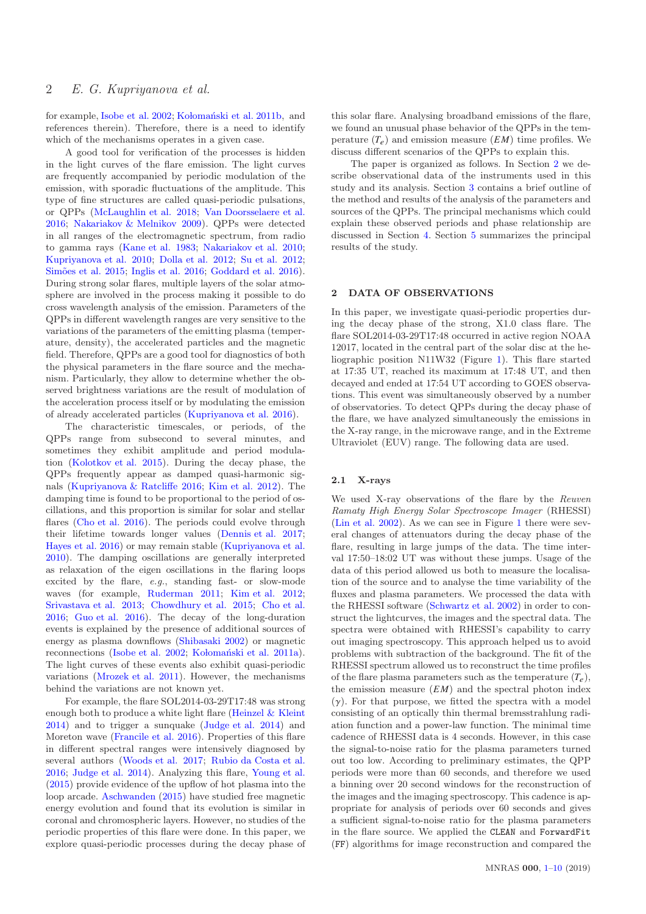for example, [Isobe et al. 2002](#page-8-2); Kołomański et al. 2011b, and references therein). Therefore, there is a need to identify which of the mechanisms operates in a given case.

A good tool for verification of the processes is hidden in the light curves of the flare emission. The light curves are frequently accompanied by periodic modulation of the emission, with sporadic fluctuations of the amplitude. This type of fine structures are called quasi-periodic pulsations, or QPPs [\(McLaughlin et al. 2018](#page-9-1); [Van Doorsselaere et al.](#page-9-2) [2016](#page-9-2); [Nakariakov & Melnikov 2009\)](#page-9-3). QPPs were detected in all ranges of the electromagnetic spectrum, from radio to gamma rays [\(Kane et al. 1983](#page-9-4); [Nakariakov et al. 2010;](#page-9-5) [Kupriyanova et al. 2010;](#page-9-6) [Dolla et al. 2012;](#page-8-3) [Su et al. 2012;](#page-9-7) Simões et al. 2015; [Inglis et al. 2016](#page-8-4); [Goddard et al. 2016](#page-8-5)). During strong solar flares, multiple layers of the solar atmosphere are involved in the process making it possible to do cross wavelength analysis of the emission. Parameters of the QPPs in different wavelength ranges are very sensitive to the variations of the parameters of the emitting plasma (temperature, density), the accelerated particles and the magnetic field. Therefore, QPPs are a good tool for diagnostics of both the physical parameters in the flare source and the mechanism. Particularly, they allow to determine whether the observed brightness variations are the result of modulation of the acceleration process itself or by modulating the emission of already accelerated particles [\(Kupriyanova et al. 2016](#page-9-9)).

The characteristic timescales, or periods, of the QPPs range from subsecond to several minutes, and sometimes they exhibit amplitude and period modulation [\(Kolotkov et al. 2015](#page-9-10)). During the decay phase, the QPPs frequently appear as damped quasi-harmonic signals [\(Kupriyanova & Ratcliffe 2016;](#page-9-11) [Kim et al. 2012](#page-9-12)). The damping time is found to be proportional to the period of oscillations, and this proportion is similar for solar and stellar flares [\(Cho et al. 2016\)](#page-8-6). The periods could evolve through their lifetime towards longer values [\(Dennis et al. 2017;](#page-8-7) [Hayes et al. 2016](#page-8-8)) or may remain stable [\(Kupriyanova et al.](#page-9-6) [2010](#page-9-6)). The damping oscillations are generally interpreted as relaxation of the eigen oscillations in the flaring loops excited by the flare, e.g., standing fast- or slow-mode waves (for example, [Ruderman 2011](#page-9-13); [Kim et al. 2012;](#page-9-12) [Srivastava et al. 2013](#page-9-14); [Chowdhury et al. 2015;](#page-8-9) [Cho et al.](#page-8-6) [2016](#page-8-6); [Guo et al. 2016](#page-8-10)). The decay of the long-duration events is explained by the presence of additional sources of energy as plasma downflows [\(Shibasaki 2002](#page-9-15)) or magnetic reconnections [\(Isobe et al. 2002;](#page-8-2) Kołomański et al. 2011a). The light curves of these events also exhibit quasi-periodic variations [\(Mrozek et al. 2011](#page-9-17)). However, the mechanisms behind the variations are not known yet.

For example, the flare SOL2014-03-29T17:48 was strong enough both to produce a white light flare [\(Heinzel & Kleint](#page-8-11) [2014](#page-8-11)) and to trigger a sunquake [\(Judge et al. 2014](#page-9-18)) and Moreton wave [\(Francile et al. 2016\)](#page-8-12). Properties of this flare in different spectral ranges were intensively diagnosed by several authors [\(Woods et al. 2017](#page-9-19); [Rubio da Costa et al.](#page-9-20) [2016](#page-9-20); [Judge et al. 2014\)](#page-9-18). Analyzing this flare, [Young et al.](#page-9-21) [\(2015](#page-9-21)) provide evidence of the upflow of hot plasma into the loop arcade. [Aschwanden](#page-8-13) [\(2015](#page-8-13)) have studied free magnetic energy evolution and found that its evolution is similar in coronal and chromospheric layers. However, no studies of the periodic properties of this flare were done. In this paper, we explore quasi-periodic processes during the decay phase of this solar flare. Analysing broadband emissions of the flare, we found an unusual phase behavior of the QPPs in the temperature  $(T_e)$  and emission measure  $(EM)$  time profiles. We discuss different scenarios of the QPPs to explain this.

The paper is organized as follows. In Section [2](#page-1-0) we describe observational data of the instruments used in this study and its analysis. Section [3](#page-3-0) contains a brief outline of the method and results of the analysis of the parameters and sources of the QPPs. The principal mechanisms which could explain these observed periods and phase relationship are discussed in Section [4.](#page-7-0) Section [5](#page-8-0) summarizes the principal results of the study.

# <span id="page-1-0"></span>2 DATA OF OBSERVATIONS

In this paper, we investigate quasi-periodic properties during the decay phase of the strong, X1.0 class flare. The flare SOL2014-03-29T17:48 occurred in active region NOAA 12017, located in the central part of the solar disc at the heliographic position N11W32 (Figure [1\)](#page-2-0). This flare started at 17:35 UT, reached its maximum at 17:48 UT, and then decayed and ended at 17:54 UT according to GOES observations. This event was simultaneously observed by a number of observatories. To detect QPPs during the decay phase of the flare, we have analyzed simultaneously the emissions in the X-ray range, in the microwave range, and in the Extreme Ultraviolet (EUV) range. The following data are used.

### <span id="page-1-1"></span>2.1 X-rays

We used X-ray observations of the flare by the Reuven Ramaty High Energy Solar Spectroscope Imager (RHESSI) [\(Lin et al. 2002](#page-9-22)). As we can see in Figure [1](#page-2-0) there were several changes of attenuators during the decay phase of the flare, resulting in large jumps of the data. The time interval 17:50–18:02 UT was without these jumps. Usage of the data of this period allowed us both to measure the localisation of the source and to analyse the time variability of the fluxes and plasma parameters. We processed the data with the RHESSI software [\(Schwartz et al. 2002](#page-9-23)) in order to construct the lightcurves, the images and the spectral data. The spectra were obtained with RHESSI's capability to carry out imaging spectroscopy. This approach helped us to avoid problems with subtraction of the background. The fit of the RHESSI spectrum allowed us to reconstruct the time profiles of the flare plasma parameters such as the temperature  $(T_e)$ , the emission measure  $(EM)$  and the spectral photon index  $(\gamma)$ . For that purpose, we fitted the spectra with a model consisting of an optically thin thermal bremsstrahlung radiation function and a power-law function. The minimal time cadence of RHESSI data is 4 seconds. However, in this case the signal-to-noise ratio for the plasma parameters turned out too low. According to preliminary estimates, the QPP periods were more than 60 seconds, and therefore we used a binning over 20 second windows for the reconstruction of the images and the imaging spectroscopy. This cadence is appropriate for analysis of periods over 60 seconds and gives a sufficient signal-to-noise ratio for the plasma parameters in the flare source. We applied the CLEAN and ForwardFit (FF) algorithms for image reconstruction and compared the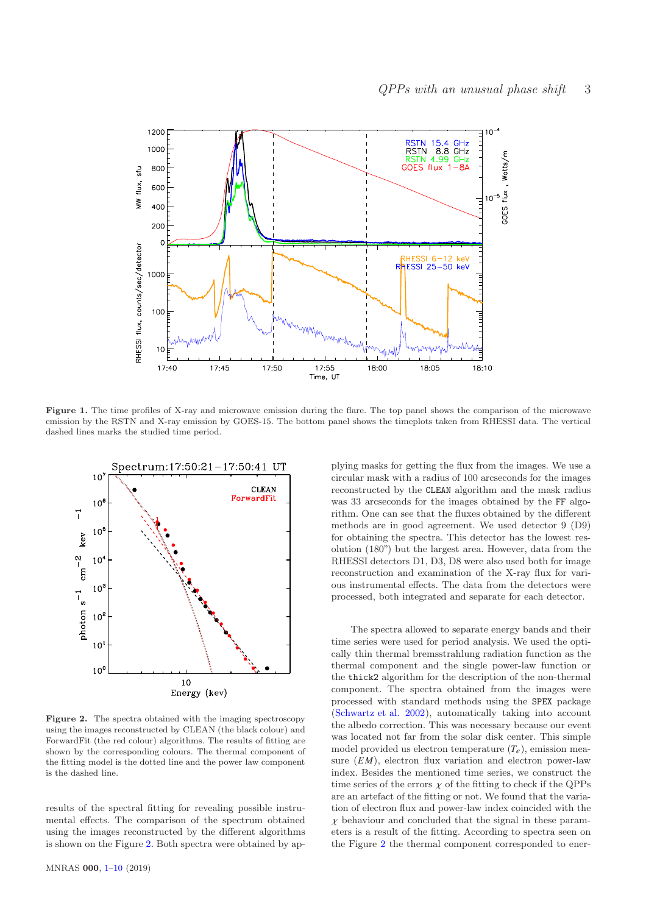

Figure 1. The time profiles of X-ray and microwave emission during the flare. The top panel shows the comparison of the microwave emission by the RSTN and X-ray emission by GOES-15. The bottom panel shows the timeplots taken from RHESSI data. The vertical dashed lines marks the studied time period.

<span id="page-2-0"></span>

<span id="page-2-1"></span>Figure 2. The spectra obtained with the imaging spectroscopy using the images reconstructed by CLEAN (the black colour) and ForwardFit (the red colour) algorithms. The results of fitting are shown by the corresponding colours. The thermal component of the fitting model is the dotted line and the power law component is the dashed line.

results of the spectral fitting for revealing possible instrumental effects. The comparison of the spectrum obtained using the images reconstructed by the different algorithms is shown on the Figure [2.](#page-2-1) Both spectra were obtained by applying masks for getting the flux from the images. We use a circular mask with a radius of 100 arcseconds for the images reconstructed by the CLEAN algorithm and the mask radius was 33 arcseconds for the images obtained by the FF algorithm. One can see that the fluxes obtained by the different methods are in good agreement. We used detector 9 (D9) for obtaining the spectra. This detector has the lowest resolution (180") but the largest area. However, data from the RHESSI detectors D1, D3, D8 were also used both for image reconstruction and examination of the X-ray flux for various instrumental effects. The data from the detectors were processed, both integrated and separate for each detector.

The spectra allowed to separate energy bands and their time series were used for period analysis. We used the optically thin thermal bremsstrahlung radiation function as the thermal component and the single power-law function or the thick2 algorithm for the description of the non-thermal component. The spectra obtained from the images were processed with standard methods using the SPEX package [\(Schwartz et al. 2002](#page-9-23)), automatically taking into account the albedo correction. This was necessary because our event was located not far from the solar disk center. This simple model provided us electron temperature  $(T_e)$ , emission measure  $(EM)$ , electron flux variation and electron power-law index. Besides the mentioned time series, we construct the time series of the errors  $\chi$  of the fitting to check if the QPPs are an artefact of the fitting or not. We found that the variation of electron flux and power-law index coincided with the  $\chi$  behaviour and concluded that the signal in these parameters is a result of the fitting. According to spectra seen on the Figure [2](#page-2-1) the thermal component corresponded to ener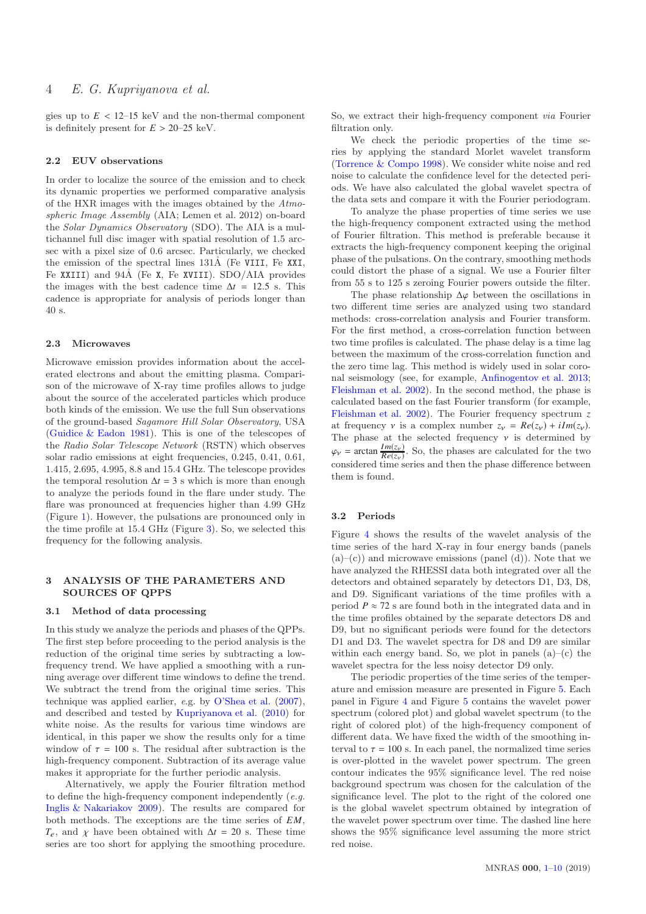gies up to  $E < 12-15$  keV and the non-thermal component is definitely present for  $E > 20-25$  keV.

### 2.2 EUV observations

In order to localize the source of the emission and to check its dynamic properties we performed comparative analysis of the HXR images with the images obtained by the Atmospheric Image Assembly (AIA; Lemen et al. 2012) on-board the Solar Dynamics Observatory (SDO). The AIA is a multichannel full disc imager with spatial resolution of 1.5 arcsec with a pixel size of 0.6 arcsec. Particularly, we checked the emission of the spectral lines  $131\text{\AA}$  (Fe VIII, Fe XXI, Fe XXIII) and  $94\text{\AA}$  (Fe X, Fe XVIII). SDO/AIA provides the images with the best cadence time  $\Delta t = 12.5$  s. This cadence is appropriate for analysis of periods longer than 40 s.

#### 2.3 Microwaves

Microwave emission provides information about the accelerated electrons and about the emitting plasma. Comparison of the microwave of X-ray time profiles allows to judge about the source of the accelerated particles which produce both kinds of the emission. We use the full Sun observations of the ground-based Sagamore Hill Solar Observatory, USA [\(Guidice & Eadon 1981](#page-8-14)). This is one of the telescopes of the Radio Solar Telescope Network (RSTN) which observes solar radio emissions at eight frequencies, 0.245, 0.41, 0.61, 1.415, 2.695, 4.995, 8.8 and 15.4 GHz. The telescope provides the temporal resolution  $\Delta t = 3$  s which is more than enough to analyze the periods found in the flare under study. The flare was pronounced at frequencies higher than 4.99 GHz (Figure [1\)](#page-2-0). However, the pulsations are pronounced only in the time profile at 15.4 GHz (Figure [3\)](#page-4-0). So, we selected this frequency for the following analysis.

### <span id="page-3-0"></span>3 ANALYSIS OF THE PARAMETERS AND SOURCES OF QPPS

### 3.1 Method of data processing

In this study we analyze the periods and phases of the QPPs. The first step before proceeding to the period analysis is the reduction of the original time series by subtracting a lowfrequency trend. We have applied a smoothing with a running average over different time windows to define the trend. We subtract the trend from the original time series. This technique was applied earlier, e.g. by [O'Shea et al.](#page-9-24) [\(2007](#page-9-24)), and described and tested by [Kupriyanova et al.](#page-9-6) [\(2010\)](#page-9-6) for white noise. As the results for various time windows are identical, in this paper we show the results only for a time window of  $\tau = 100$  s. The residual after subtraction is the high-frequency component. Subtraction of its average value makes it appropriate for the further periodic analysis.

Alternatively, we apply the Fourier filtration method to define the high-frequency component independently  $(e.g.,)$ [Inglis & Nakariakov 2009](#page-8-15)). The results are compared for both methods. The exceptions are the time series of  $EM$ ,  $T_e$ , and  $\chi$  have been obtained with  $\Delta t = 20$  s. These time series are too short for applying the smoothing procedure. So, we extract their high-frequency component via Fourier filtration only.

We check the periodic properties of the time series by applying the standard Morlet wavelet transform [\(Torrence & Compo 1998](#page-9-25)). We consider white noise and red noise to calculate the confidence level for the detected periods. We have also calculated the global wavelet spectra of the data sets and compare it with the Fourier periodogram.

To analyze the phase properties of time series we use the high-frequency component extracted using the method of Fourier filtration. This method is preferable because it extracts the high-frequency component keeping the original phase of the pulsations. On the contrary, smoothing methods could distort the phase of a signal. We use a Fourier filter from 55 s to 125 s zeroing Fourier powers outside the filter.

The phase relationship  $\Delta\varphi$  between the oscillations in two different time series are analyzed using two standard methods: cross-correlation analysis and Fourier transform. For the first method, a cross-correlation function between two time profiles is calculated. The phase delay is a time lag between the maximum of the cross-correlation function and the zero time lag. This method is widely used in solar coronal seismology (see, for example, [Anfinogentov et al. 2013;](#page-8-16) [Fleishman et al. 2002\)](#page-8-17). In the second method, the phase is calculated based on the fast Fourier transform (for example, [Fleishman et al. 2002](#page-8-17)). The Fourier frequency spectrum *z* at frequency *v* is a complex number  $z_v = Re(z_v) + iIm(z_v)$ . The phase at the selected frequency  $\nu$  is determined by  $\varphi_{\nu}$  = arctan  $\frac{Im(z_{\nu})}{Re(z_{\nu})}$ . So, the phases are calculated for the two considered time series and then the phase difference between them is found.

### <span id="page-3-1"></span>3.2 Periods

Figure [4](#page-5-0) shows the results of the wavelet analysis of the time series of the hard X-ray in four energy bands (panels  $(a)$ – $(c)$ ) and microwave emissions (panel  $(d)$ ). Note that we have analyzed the RHESSI data both integrated over all the detectors and obtained separately by detectors D1, D3, D8, and D9. Significant variations of the time profiles with a period  $P \approx 72$  s are found both in the integrated data and in the time profiles obtained by the separate detectors D8 and D9, but no significant periods were found for the detectors D1 and D3. The wavelet spectra for D8 and D9 are similar within each energy band. So, we plot in panels  $(a)$ – $(c)$  the wavelet spectra for the less noisy detector D9 only.

The periodic properties of the time series of the temperature and emission measure are presented in Figure [5.](#page-5-1) Each panel in Figure [4](#page-5-0) and Figure [5](#page-5-1) contains the wavelet power spectrum (colored plot) and global wavelet spectrum (to the right of colored plot) of the high-frequency component of different data. We have fixed the width of the smoothing interval to  $\tau = 100$  s. In each panel, the normalized time series is over-plotted in the wavelet power spectrum. The green contour indicates the 95% significance level. The red noise background spectrum was chosen for the calculation of the significance level. The plot to the right of the colored one is the global wavelet spectrum obtained by integration of the wavelet power spectrum over time. The dashed line here shows the 95% significance level assuming the more strict red noise.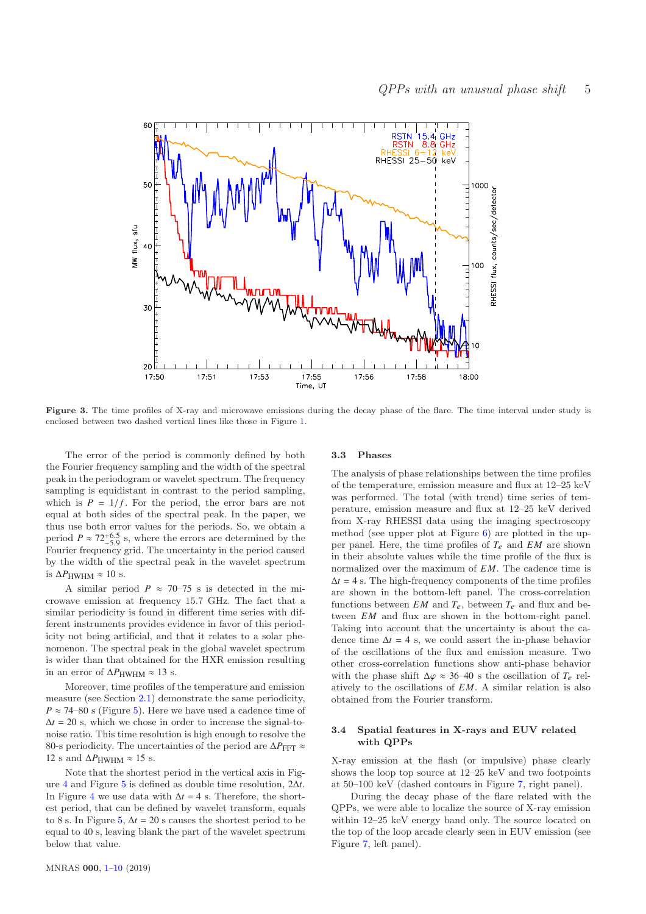

<span id="page-4-0"></span>Figure 3. The time profiles of X-ray and microwave emissions during the decay phase of the flare. The time interval under study is enclosed between two dashed vertical lines like those in Figure [1.](#page-2-0)

The error of the period is commonly defined by both the Fourier frequency sampling and the width of the spectral peak in the periodogram or wavelet spectrum. The frequency sampling is equidistant in contrast to the period sampling, which is  $P = 1/f$ . For the period, the error bars are not equal at both sides of the spectral peak. In the paper, we thus use both error values for the periods. So, we obtain a period  $P \approx 72^{+6.5}_{-5.9}$  s, where the errors are determined by the Fourier frequency grid. The uncertainty in the period caused by the width of the spectral peak in the wavelet spectrum is  $ΔP<sub>HWHM</sub> ≈ 10$  s.

A similar period  $P \approx 70-75$  s is detected in the microwave emission at frequency 15.7 GHz. The fact that a similar periodicity is found in different time series with different instruments provides evidence in favor of this periodicity not being artificial, and that it relates to a solar phenomenon. The spectral peak in the global wavelet spectrum is wider than that obtained for the HXR emission resulting in an error of  $\Delta P_{\text{HWHM}} \approx 13$  s.

Moreover, time profiles of the temperature and emission measure (see Section [2.1\)](#page-1-1) demonstrate the same periodicity,  $P \approx 74$ –80 s (Figure [5\)](#page-5-1). Here we have used a cadence time of  $\Delta t = 20$  s, which we chose in order to increase the signal-tonoise ratio. This time resolution is high enough to resolve the 80-s periodicity. The uncertainties of the period are  $ΔP<sub>FFT</sub> ≈$ 12 s and  $\Delta P$ <sub>HWHM</sub> ≈ 15 s.

Note that the shortest period in the vertical axis in Figure [4](#page-5-0) and Figure [5](#page-5-1) is defined as double time resolution, 2∆*t*. In Figure [4](#page-5-0) we use data with  $\Delta t = 4$  s. Therefore, the shortest period, that can be defined by wavelet transform, equals to 8 s. In Figure [5,](#page-5-1)  $\Delta t = 20$  s causes the shortest period to be equal to 40 s, leaving blank the part of the wavelet spectrum below that value.

### <span id="page-4-1"></span>3.3 Phases

The analysis of phase relationships between the time profiles of the temperature, emission measure and flux at 12–25 keV was performed. The total (with trend) time series of temperature, emission measure and flux at 12–25 keV derived from X-ray RHESSI data using the imaging spectroscopy method (see upper plot at Figure [6\)](#page-6-0) are plotted in the upper panel. Here, the time profiles of  $T_e$  and  $EM$  are shown in their absolute values while the time profile of the flux is normalized over the maximum of *EM*. The cadence time is  $\Delta t = 4$  s. The high-frequency components of the time profiles are shown in the bottom-left panel. The cross-correlation functions between  $EM$  and  $T_e$ , between  $T_e$  and flux and between *EM* and flux are shown in the bottom-right panel. Taking into account that the uncertainty is about the cadence time  $\Delta t = 4$  s, we could assert the in-phase behavior of the oscillations of the flux and emission measure. Two other cross-correlation functions show anti-phase behavior with the phase shift  $\Delta \varphi \approx 36-40$  s the oscillation of  $T_e$  relatively to the oscillations of *EM*. A similar relation is also obtained from the Fourier transform.

# 3.4 Spatial features in X-rays and EUV related with QPPs

X-ray emission at the flash (or impulsive) phase clearly shows the loop top source at 12–25 keV and two footpoints at 50–100 keV (dashed contours in Figure [7,](#page-6-1) right panel).

During the decay phase of the flare related with the QPPs, we were able to localize the source of X-ray emission within 12–25 keV energy band only. The source located on the top of the loop arcade clearly seen in EUV emission (see Figure [7,](#page-6-1) left panel).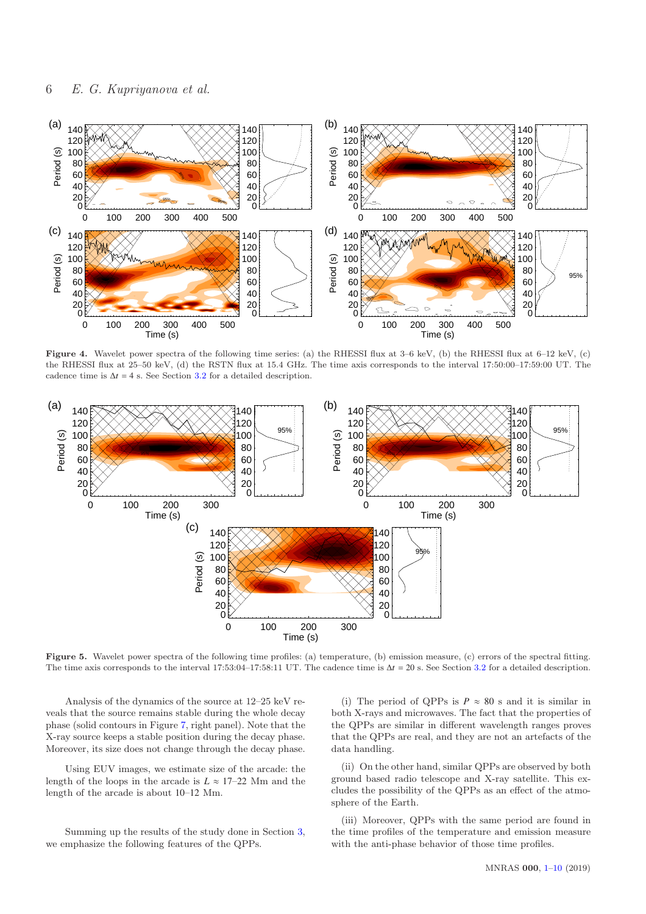

<span id="page-5-0"></span>Figure 4. Wavelet power spectra of the following time series: (a) the RHESSI flux at 3–6 keV, (b) the RHESSI flux at 6–12 keV, (c) the RHESSI flux at 25–50 keV, (d) the RSTN flux at 15.4 GHz. The time axis corresponds to the interval 17:50:00–17:59:00 UT. The cadence time is  $\Delta t = 4$  s. See Section [3.2](#page-3-1) for a detailed description.



<span id="page-5-1"></span>Figure 5. Wavelet power spectra of the following time profiles: (a) temperature, (b) emission measure, (c) errors of the spectral fitting. The time axis corresponds to the interval 17:53:04–17:58:11 UT. The cadence time is  $\Delta t = 20$  s. See Section [3.2](#page-3-1) for a detailed description.

Analysis of the dynamics of the source at 12–25 keV reveals that the source remains stable during the whole decay phase (solid contours in Figure [7,](#page-6-1) right panel). Note that the X-ray source keeps a stable position during the decay phase. Moreover, its size does not change through the decay phase.

Using EUV images, we estimate size of the arcade: the length of the loops in the arcade is  $L \approx 17-22$  Mm and the length of the arcade is about 10–12 Mm.

Summing up the results of the study done in Section [3,](#page-3-0) we emphasize the following features of the QPPs.

(i) The period of QPPs is  $P \approx 80$  s and it is similar in both X-rays and microwaves. The fact that the properties of the QPPs are similar in different wavelength ranges proves that the QPPs are real, and they are not an artefacts of the data handling.

(ii) On the other hand, similar QPPs are observed by both ground based radio telescope and X-ray satellite. This excludes the possibility of the QPPs as an effect of the atmosphere of the Earth.

(iii) Moreover, QPPs with the same period are found in the time profiles of the temperature and emission measure with the anti-phase behavior of those time profiles.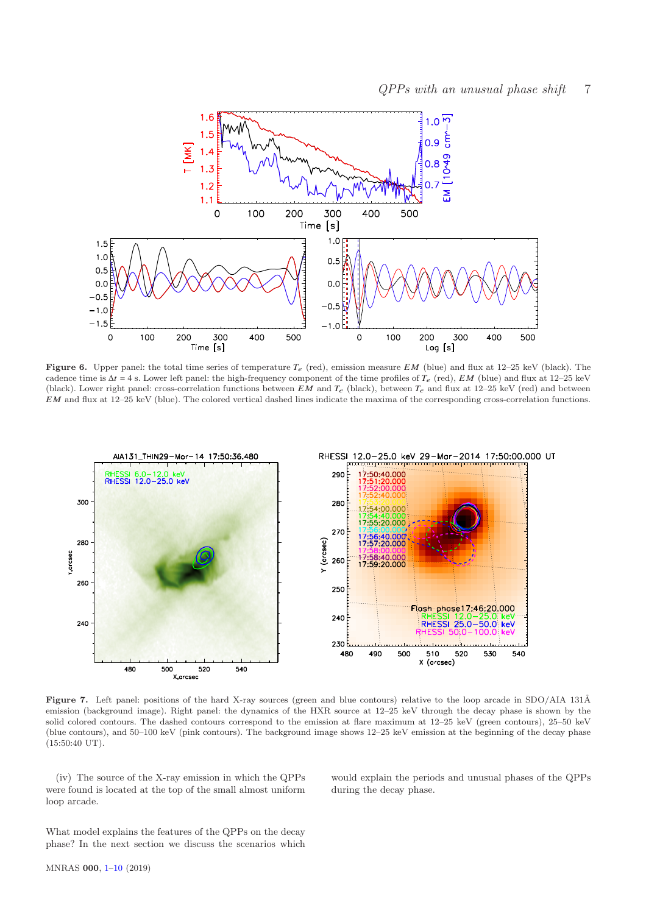

<span id="page-6-0"></span>Figure 6. Upper panel: the total time series of temperature  $T_e$  (red), emission measure EM (blue) and flux at 12–25 keV (black). The cadence time is  $\Delta t = 4$  s. Lower left panel: the high-frequency component of the time profiles of  $T_e$  (red), EM (blue) and flux at 12–25 keV (black). Lower right panel: cross-correlation functions between  $EM$  and  $T_e$  (black), between  $T_e$  and flux at 12–25 keV (red) and between EM and flux at 12–25 keV (blue). The colored vertical dashed lines indicate the maxima of the corresponding cross-correlation functions.



<span id="page-6-1"></span>Figure 7. Left panel: positions of the hard X-ray sources (green and blue contours) relative to the loop arcade in SDO/AIA 131Å emission (background image). Right panel: the dynamics of the HXR source at 12–25 keV through the decay phase is shown by the solid colored contours. The dashed contours correspond to the emission at flare maximum at 12–25 keV (green contours), 25–50 keV (blue contours), and 50–100 keV (pink contours). The background image shows 12–25 keV emission at the beginning of the decay phase (15:50:40 UT).

(iv) The source of the X-ray emission in which the QPPs were found is located at the top of the small almost uniform loop arcade.

would explain the periods and unusual phases of the QPPs during the decay phase.

What model explains the features of the QPPs on the decay phase? In the next section we discuss the scenarios which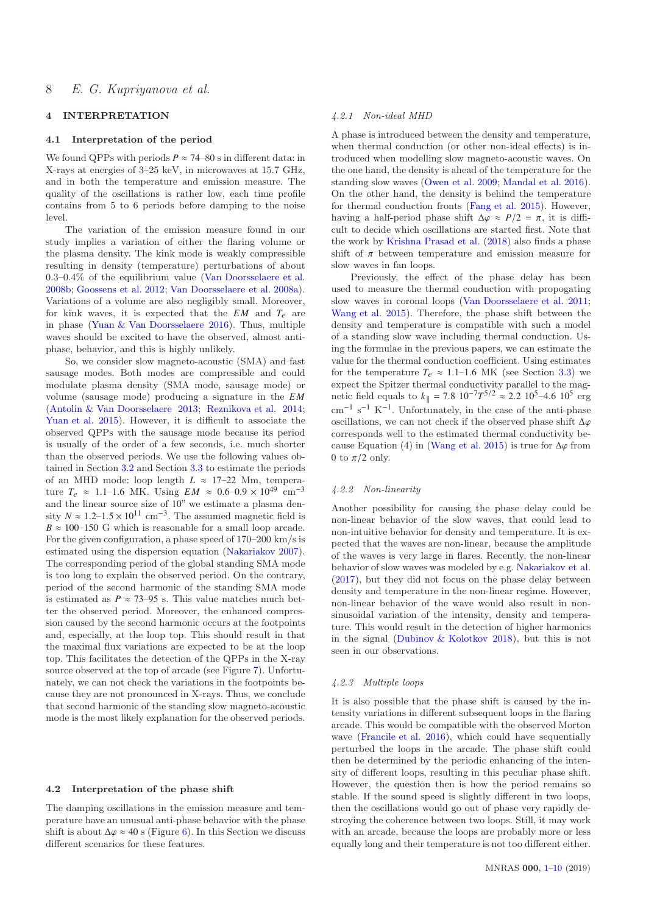# <span id="page-7-0"></span>4 INTERPRETATION

### 4.1 Interpretation of the period

We found QPPs with periods  $P \approx 74-80$  s in different data: in X-rays at energies of 3–25 keV, in microwaves at 15.7 GHz, and in both the temperature and emission measure. The quality of the oscillations is rather low, each time profile contains from 5 to 6 periods before damping to the noise level.

The variation of the emission measure found in our study implies a variation of either the flaring volume or the plasma density. The kink mode is weakly compressible resulting in density (temperature) perturbations of about 0.3–0.4% of the equilibrium value [\(Van Doorsselaere et al.](#page-9-26) [2008b;](#page-9-26) [Goossens et al. 2012;](#page-8-18) [Van Doorsselaere et al. 2008a](#page-9-27)). Variations of a volume are also negligibly small. Moreover, for kink waves, it is expected that the  $EM$  and  $T_e$  are in phase [\(Yuan & Van Doorsselaere 2016\)](#page-9-28). Thus, multiple waves should be excited to have the observed, almost antiphase, behavior, and this is highly unlikely.

So, we consider slow magneto-acoustic (SMA) and fast sausage modes. Both modes are compressible and could modulate plasma density (SMA mode, sausage mode) or volume (sausage mode) producing a signature in the *E M* [\(Antolin & Van Doorsselaere 2013](#page-8-19); [Reznikova et al. 2014;](#page-9-29) [Yuan et al. 2015](#page-9-30)). However, it is difficult to associate the observed QPPs with the sausage mode because its period is usually of the order of a few seconds, i.e. much shorter than the observed periods. We use the following values obtained in Section [3.2](#page-3-1) and Section [3.3](#page-4-1) to estimate the periods of an MHD mode: loop length *L* ≈ 17–22 Mm, temperature  $T_e \approx 1.1-1.6$  MK. Using  $EM \approx 0.6-0.9 \times 10^{49}$  cm<sup>-3</sup> and the linear source size of 10" we estimate a plasma density  $N \approx 1.2 - 1.5 \times 10^{11}$  cm<sup>-3</sup>. The assumed magnetic field is  $B \approx 100-150$  G which is reasonable for a small loop arcade. For the given configuration, a phase speed of 170–200 km/s is estimated using the dispersion equation [\(Nakariakov 2007](#page-9-31)). The corresponding period of the global standing SMA mode is too long to explain the observed period. On the contrary, period of the second harmonic of the standing SMA mode is estimated as  $P \approx 73-95$  s. This value matches much better the observed period. Moreover, the enhanced compression caused by the second harmonic occurs at the footpoints and, especially, at the loop top. This should result in that the maximal flux variations are expected to be at the loop top. This facilitates the detection of the QPPs in the X-ray source observed at the top of arcade (see Figure [7\)](#page-6-1). Unfortunately, we can not check the variations in the footpoints because they are not pronounced in X-rays. Thus, we conclude that second harmonic of the standing slow magneto-acoustic mode is the most likely explanation for the observed periods.

# 4.2 Interpretation of the phase shift

The damping oscillations in the emission measure and temperature have an unusual anti-phase behavior with the phase shift is about  $\Delta \varphi \approx 40$  s (Figure [6\)](#page-6-0). In this Section we discuss different scenarios for these features.

# 4.2.1 Non-ideal MHD

A phase is introduced between the density and temperature, when thermal conduction (or other non-ideal effects) is introduced when modelling slow magneto-acoustic waves. On the one hand, the density is ahead of the temperature for the standing slow waves [\(Owen et al. 2009](#page-9-32); [Mandal et al. 2016](#page-9-33)). On the other hand, the density is behind the temperature for thermal conduction fronts [\(Fang et al. 2015\)](#page-8-20). However, having a half-period phase shift  $\Delta \varphi \approx P/2 = \pi$ , it is difficult to decide which oscillations are started first. Note that the work by [Krishna Prasad et al.](#page-9-34) [\(2018](#page-9-34)) also finds a phase shift of  $\pi$  between temperature and emission measure for slow waves in fan loops.

Previously, the effect of the phase delay has been used to measure the thermal conduction with propogating slow waves in coronal loops [\(Van Doorsselaere et al. 2011;](#page-9-35) [Wang et al. 2015](#page-9-36)). Therefore, the phase shift between the density and temperature is compatible with such a model of a standing slow wave including thermal conduction. Using the formulae in the previous papers, we can estimate the value for the thermal conduction coefficient. Using estimates for the temperature  $T_e \approx 1.1$ –1.6 MK (see Section [3.3\)](#page-4-1) we expect the Spitzer thermal conductivity parallel to the magnetic field equals to  $k_{\parallel} = 7.8 \times 10^{-7} T^{5/2} \approx 2.2 \times 10^{5} - 4.6 \times 10^{5} \text{ erg}$ cm−<sup>1</sup> s <sup>−</sup><sup>1</sup> K−<sup>1</sup> . Unfortunately, in the case of the anti-phase oscillations, we can not check if the observed phase shift  $\Delta\varphi$ corresponds well to the estimated thermal conductivity be-cause Equation (4) in [\(Wang et al. 2015](#page-9-36)) is true for  $\Delta\varphi$  from 0 to  $\pi/2$  only.

### 4.2.2 Non-linearity

Another possibility for causing the phase delay could be non-linear behavior of the slow waves, that could lead to non-intuitive behavior for density and temperature. It is expected that the waves are non-linear, because the amplitude of the waves is very large in flares. Recently, the non-linear behavior of slow waves was modeled by e.g. [Nakariakov et al.](#page-9-37) [\(2017](#page-9-37)), but they did not focus on the phase delay between density and temperature in the non-linear regime. However, non-linear behavior of the wave would also result in nonsinusoidal variation of the intensity, density and temperature. This would result in the detection of higher harmonics in the signal [\(Dubinov & Kolotkov 2018](#page-8-21)), but this is not seen in our observations.

# 4.2.3 Multiple loops

It is also possible that the phase shift is caused by the intensity variations in different subsequent loops in the flaring arcade. This would be compatible with the observed Morton wave [\(Francile et al. 2016](#page-8-12)), which could have sequentially perturbed the loops in the arcade. The phase shift could then be determined by the periodic enhancing of the intensity of different loops, resulting in this peculiar phase shift. However, the question then is how the period remains so stable. If the sound speed is slightly different in two loops, then the oscillations would go out of phase very rapidly destroying the coherence between two loops. Still, it may work with an arcade, because the loops are probably more or less equally long and their temperature is not too different either.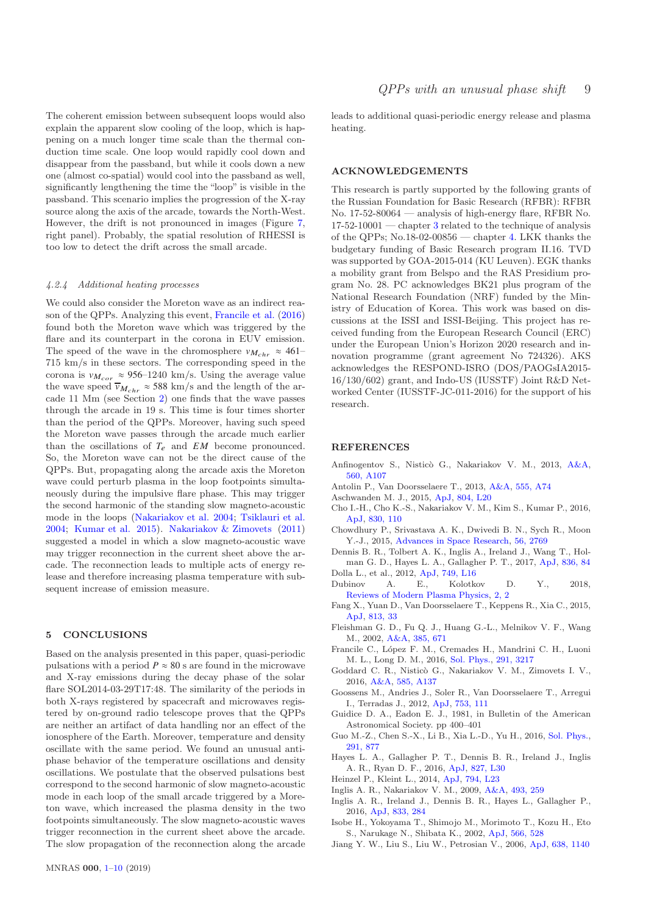The coherent emission between subsequent loops would also explain the apparent slow cooling of the loop, which is happening on a much longer time scale than the thermal conduction time scale. One loop would rapidly cool down and disappear from the passband, but while it cools down a new one (almost co-spatial) would cool into the passband as well, significantly lengthening the time the "loop" is visible in the passband. This scenario implies the progression of the X-ray source along the axis of the arcade, towards the North-West. However, the drift is not pronounced in images (Figure [7,](#page-6-1) right panel). Probably, the spatial resolution of RHESSI is too low to detect the drift across the small arcade.

#### 4.2.4 Additional heating processes

We could also consider the Moreton wave as an indirect reason of the QPPs. Analyzing this event, [Francile et al.](#page-8-12) [\(2016\)](#page-8-12) found both the Moreton wave which was triggered by the flare and its counterpart in the corona in EUV emission. The speed of the wave in the chromosphere  $v_{M_{chr}} \approx 461–$ 715 km/s in these sectors. The corresponding speed in the corona is  $v_{M_{cor}} \approx 956$ –1240 km/s. Using the average value the wave speed  $\overline{v}_{M_{chr}} \approx 588 \text{ km/s}$  and the length of the arcade 11 Mm (see Section [2\)](#page-1-0) one finds that the wave passes through the arcade in 19 s. This time is four times shorter than the period of the QPPs. Moreover, having such speed the Moreton wave passes through the arcade much earlier than the oscillations of  $T_e$  and  $EM$  become pronounced. So, the Moreton wave can not be the direct cause of the QPPs. But, propagating along the arcade axis the Moreton wave could perturb plasma in the loop footpoints simultaneously during the impulsive flare phase. This may trigger the second harmonic of the standing slow magneto-acoustic mode in the loops [\(Nakariakov et al. 2004](#page-9-38); [Tsiklauri et al.](#page-9-39) [2004](#page-9-39); [Kumar et al. 2015](#page-9-40)). [Nakariakov & Zimovets](#page-9-41) [\(2011\)](#page-9-41) suggested a model in which a slow magneto-acoustic wave may trigger reconnection in the current sheet above the arcade. The reconnection leads to multiple acts of energy release and therefore increasing plasma temperature with subsequent increase of emission measure.

# <span id="page-8-0"></span>5 CONCLUSIONS

Based on the analysis presented in this paper, quasi-periodic pulsations with a period  $P \approx 80$  s are found in the microwave and X-ray emissions during the decay phase of the solar flare SOL2014-03-29T17:48. The similarity of the periods in both X-rays registered by spacecraft and microwaves registered by on-ground radio telescope proves that the QPPs are neither an artifact of data handling nor an effect of the ionosphere of the Earth. Moreover, temperature and density oscillate with the same period. We found an unusual antiphase behavior of the temperature oscillations and density oscillations. We postulate that the observed pulsations best correspond to the second harmonic of slow magneto-acoustic mode in each loop of the small arcade triggered by a Moreton wave, which increased the plasma density in the two footpoints simultaneously. The slow magneto-acoustic waves trigger reconnection in the current sheet above the arcade. The slow propagation of the reconnection along the arcade leads to additional quasi-periodic energy release and plasma heating.

### ACKNOWLEDGEMENTS

This research is partly supported by the following grants of the Russian Foundation for Basic Research (RFBR): RFBR No. 17-52-80064 — analysis of high-energy flare, RFBR No.  $17-52-10001$  — chapter [3](#page-3-0) related to the technique of analysis of the QPPs; No.18-02-00856 — chapter [4.](#page-7-0) LKK thanks the budgetary funding of Basic Research program II.16. TVD was supported by GOA-2015-014 (KU Leuven). EGK thanks a mobility grant from Belspo and the RAS Presidium program No. 28. PC acknowledges BK21 plus program of the National Research Foundation (NRF) funded by the Ministry of Education of Korea. This work was based on discussions at the ISSI and ISSI-Beijing. This project has received funding from the European Research Council (ERC) under the European Union's Horizon 2020 research and innovation programme (grant agreement No 724326). AKS acknowledges the RESPOND-ISRO (DOS/PAOGsIA2015- 16/130/602) grant, and Indo-US (IUSSTF) Joint R&D Networked Center (IUSSTF-JC-011-2016) for the support of his research.

### REFERENCES

- <span id="page-8-16"></span>Anfinogentov S., Nisticò G., Nakariakov V. M., 2013, [A&A,](http://dx.doi.org/10.1051/0004-6361/201322094) [560, A107](http://ads.inasan.ru/abs/2013A%26A...560A.107A)
- <span id="page-8-19"></span>Antolin P., Van Doorsselaere T., 2013, [A&A,](http://dx.doi.org/10.1051/0004-6361/201220784) [555, A74](http://adsabs.harvard.edu/abs/2013A%26A...555A..74A)
- <span id="page-8-13"></span>Aschwanden M. J., 2015, [ApJ,](http://dx.doi.org/10.1088/2041-8205/804/1/L20) [804, L20](http://adsabs.harvard.edu/abs/2015ApJ...804L..20A)
- <span id="page-8-6"></span>Cho I.-H., Cho K.-S., Nakariakov V. M., Kim S., Kumar P., 2016, [ApJ,](http://dx.doi.org/10.3847/0004-637X/830/2/110) [830, 110](http://adsabs.harvard.edu/abs/2016ApJ...830..110C)
- <span id="page-8-9"></span>Chowdhury P., Srivastava A. K., Dwivedi B. N., Sych R., Moon Y.-J., 2015, [Advances in Space Research,](http://dx.doi.org/10.1016/j.asr.2015.08.003) [56, 2769](http://ads.inasan.ru/abs/2015AdSpR..56.2769C)
- <span id="page-8-7"></span>Dennis B. R., Tolbert A. K., Inglis A., Ireland J., Wang T., Holman G. D., Hayes L. A., Gallagher P. T., 2017, [ApJ,](http://dx.doi.org/10.3847/1538-4357/836/1/84) [836, 84](http://adsabs.harvard.edu/abs/2017ApJ...836...84D)
- <span id="page-8-3"></span>Dolla L., et al., 2012, [ApJ,](http://dx.doi.org/10.1088/2041-8205/749/1/L16) [749, L16](http://ads.inasan.ru/abs/2012ApJ...749L..16D)
- <span id="page-8-21"></span>Dubinov A. E., Kolotkov D. Y., 2018, [Reviews of Modern Plasma Physics,](http://dx.doi.org/10.1007/s41614-018-0014-9) [2, 2](http://adsabs.harvard.edu/abs/2018RvMPP...2....2D)
- <span id="page-8-20"></span>Fang X., Yuan D., Van Doorsselaere T., Keppens R., Xia C., 2015, [ApJ,](http://dx.doi.org/10.1088/0004-637X/813/1/33) [813, 33](http://adsabs.harvard.edu/abs/2015ApJ...813...33F)
- <span id="page-8-17"></span>Fleishman G. D., Fu Q. J., Huang G.-L., Melnikov V. F., Wang M., 2002, [A&A,](http://dx.doi.org/10.1051/0004-6361:20020172) [385, 671](http://ads.inasan.ru/abs/2002A%26A...385..671F)
- <span id="page-8-12"></span>Francile C., López F. M., Cremades H., Mandrini C. H., Luoni M. L., Long D. M., 2016, [Sol. Phys.,](http://dx.doi.org/10.1007/s11207-016-0978-y) [291, 3217](http://ads.inasan.ru/abs/2016SoPh..291.3217F)
- <span id="page-8-5"></span>Goddard C. R., Nistic`o G., Nakariakov V. M., Zimovets I. V., 2016, [A&A,](http://dx.doi.org/10.1051/0004-6361/201527341) [585, A137](http://ads.inasan.ru/abs/2016A%26A...585A.137G)
- <span id="page-8-18"></span>Goossens M., Andries J., Soler R., Van Doorsselaere T., Arregui I., Terradas J., 2012, [ApJ,](http://dx.doi.org/10.1088/0004-637X/753/2/111) [753, 111](http://ads.inasan.ru/abs/2012ApJ...753..111G)
- <span id="page-8-14"></span>Guidice D. A., Eadon E. J., 1981, in Bulletin of the American Astronomical Society. pp 400–401
- <span id="page-8-10"></span>Guo M.-Z., Chen S.-X., Li B., Xia L.-D., Yu H., 2016, [Sol. Phys.,](http://dx.doi.org/10.1007/s11207-016-0868-3) [291, 877](http://adsabs.harvard.edu/abs/2016SoPh..291..877G)
- <span id="page-8-8"></span>Hayes L. A., Gallagher P. T., Dennis B. R., Ireland J., Inglis A. R., Ryan D. F., 2016, [ApJ,](http://dx.doi.org/10.3847/2041-8205/827/2/L30) [827, L30](http://adsabs.harvard.edu/abs/2016ApJ...827L..30H)
- <span id="page-8-11"></span>Heinzel P., Kleint L., 2014, [ApJ,](http://dx.doi.org/10.1088/2041-8205/794/2/L23) [794, L23](http://adsabs.harvard.edu/abs/2014ApJ...794L..23H)
- <span id="page-8-15"></span>Inglis A. R., Nakariakov V. M., 2009, [A&A,](http://dx.doi.org/10.1051/0004-6361:200810473) [493, 259](http://adsabs.harvard.edu/abs/2009A%26A...493..259I)
- <span id="page-8-4"></span>Inglis A. R., Ireland J., Dennis B. R., Hayes L., Gallagher P., 2016, [ApJ,](http://dx.doi.org/10.3847/1538-4357/833/2/284) [833, 284](http://ads.inasan.ru/abs/2016ApJ...833..284I)
- <span id="page-8-2"></span>Isobe H., Yokoyama T., Shimojo M., Morimoto T., Kozu H., Eto S., Narukage N., Shibata K., 2002, [ApJ,](http://dx.doi.org/10.1086/324777) [566, 528](http://adsabs.harvard.edu/abs/2002ApJ...566..528I)
- <span id="page-8-1"></span>Jiang Y. W., Liu S., Liu W., Petrosian V., 2006, [ApJ,](http://dx.doi.org/10.1086/498863) [638, 1140](http://ads.inasan.ru/abs/2006ApJ...638.1140J)